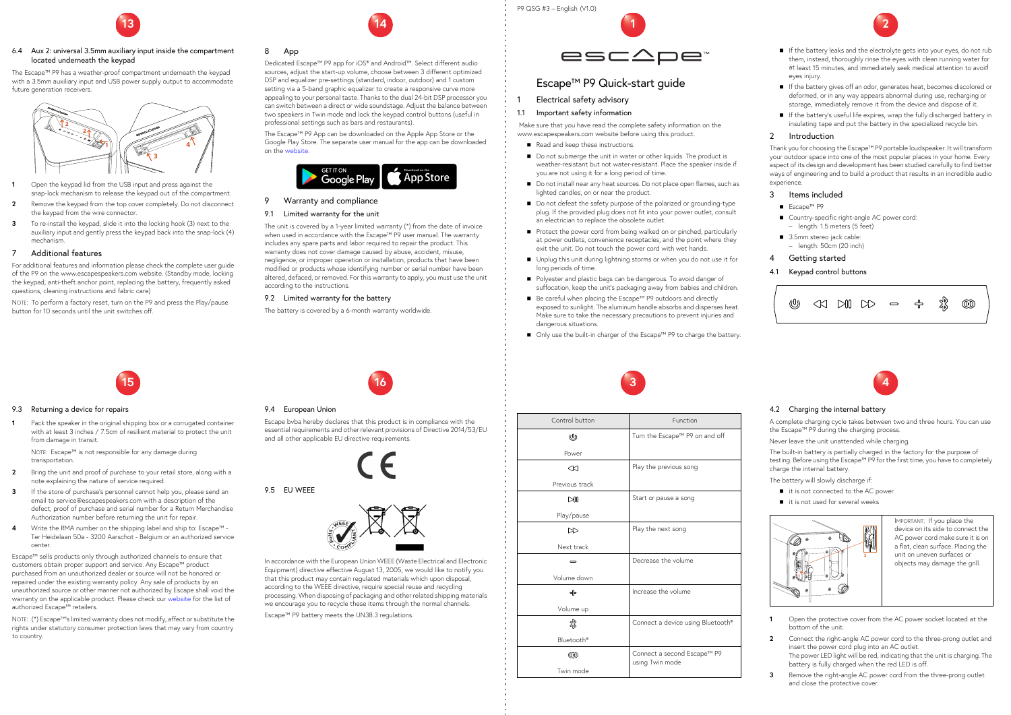# P9 QSG #3 – English (V1.0)



# Escape™ P9 Quick-start guide

- Electrical safety advisory
- 1.1 Important safety information

 Make sure that you have read the complete safety information on the www.escapespeakers.com website before using this product.

- Read and keep these instructions.
- Do not submerge the unit in water or other liquids. The product is weather-resistant but not water-resistant. Place the speaker inside if you are not using it for a long period of time.
- Do not install near any heat sources. Do not place open flames, such as lighted candles, on or near the product.
- Do not defeat the safety purpose of the polarized or grounding-type plug. If the provided plug does not fit into your power outlet, consult an electrician to replace the obsolete outlet.
- Protect the power cord from being walked on or pinched, particularly at power outlets, convenience receptacles, and the point where they exit the unit. Do not touch the power cord with wet hands.
- Unplug this unit during lightning storms or when you do not use it for long periods of time.
- **Polyester and plastic bags can be dangerous. To avoid danger of** suffocation, keep the unit's packaging away from babies and children.
- Be careful when placing the Escape<sup>™</sup> P9 outdoors and directly exposed to sunlight. The aluminum handle absorbs and disperses heat. Make sure to take the necessary precautions to prevent injuries and dangerous situations.
- Only use the built-in charger of the Escape<sup>™</sup> P9 to charge the battery.
- If the battery leaks and the electrolyte gets into your eyes, do not rub them, instead, thoroughly rinse the eyes with clean running water for at least 15 minutes, and immediately seek medical attention to avoid eyes injury.
- If the battery gives off an odor, generates heat, becomes discolored or deformed, or in any way appears abnormal during use, recharging or storage, immediately remove it from the device and dispose of it.
- If the battery's useful life expires, wrap the fully discharged battery in insulating tape and put the battery in the specialized recycle bin.

- Escape™ P9
- Country-specific right-angle AC power cord: – length: 1.5 meters (5 feet)
- 3.5mm stereo jack cable: – length: 50cm (20 inch)

# Getting started



# 2 Introduction

Thank you for choosing the Escape™ P9 portable loudspeaker. It will transform your outdoor space into one of the most popular places in your home. Every aspect of its design and development has been studied carefully to find better ways of engineering and to build a product that results in an incredible audio experience.

# 3 Items included

# 4.1 Keypad control buttons





| Control button         | Function                          |
|------------------------|-----------------------------------|
| ⋓                      | Turn the Escape™ P9 on and off    |
| Power                  |                                   |
| ≪                      | Play the previous song            |
| Previous track         |                                   |
| $\mathbb{M}$           | Start or pause a song             |
| Play/pause             |                                   |
| ▷                      | Play the next song                |
| Next track             |                                   |
|                        | Decrease the volume               |
| Volume down            |                                   |
| ╬                      | Increase the volume               |
| Volume up              |                                   |
| 饕                      | Connect a device using Bluetooth® |
| Bluetooth <sup>®</sup> |                                   |
| $\circledcirc$         | Connect a second Escape™ P9       |
| Twin mode              | using Twin mode                   |



# 4.2 Charging the internal battery

A complete charging cycle takes between two and three hours. You can use the Escape™ P9 during the charging process.

Never leave the unit unattended while charging.

The built-in battery is partially charged in the factory for the purpose of testing. Before using the Escape™ P9 for the first time, you have to completely charge the internal battery.

The battery will slowly discharge if:

- it is not connected to the AC power
- it is not used for several weeks

NOTE: Escape™ is not responsible for any damage during transportation.

- **1** Open the protective cover from the AC power socket located at the bottom of the unit.
- **2** Connect the right-angle AC power cord to the three-prong outlet and insert the power cord plug into an AC outlet. The power LED light will be red, indicating that the unit is charging. The battery is fully charged when the red LED is off.
- **3** Remove the right-angle AC power cord from the three-prong outlet and close the protective cover.
- **2** Bring the unit and proof of purchase to your retail store, along with a note explaining the nature of service required.
- **3** If the store of purchase's personnel cannot help you, please send an email to service@escapespeakers.com with a description of the defect, proof of purchase and serial number for a Return Merchandise Authorization number before returning the unit for repair.
- **4** Write the RMA number on the shipping label and ship to: Escape™ Ter Heidelaan 50a - 3200 Aarschot - Belgium or an authorized service center.

IMPORTANT: If you place the device on its side to connect the AC power cord make sure it is on a flat, clean surface. Placing the unit on uneven surfaces or objects may damage the grill.





#### 6.4 Aux 2: universal 3.5mm auxiliary input inside the compartment located underneath the keypad

The Escape™ P9 has a weather-proof compartment underneath the keypad with a 3.5mm auxiliary input and USB power supply output to accommodate future generation receivers.

- **1** Open the keypad lid from the USB input and press against the snap-lock mechanism to release the keypad out of the compartment.
- **2** Remove the keypad from the top cover completely. Do not disconnect the keypad from the wire connector.
- **3** To re-install the keypad, slide it into the locking hook (3) next to the auxiliary input and gently press the keypad back into the snap-lock (4) mechanism.

#### 7 Additional features

For additional features and information please check the complete user guide of the P9 on the www.escapespeakers.com website. (Standby mode, locking the keypad, anti-theft anchor point, replacing the battery, frequently asked questions, cleaning instructions and fabric care)

NOTE: To perform a factory reset, turn on the P9 and press the Play/pause button for 10 seconds until the unit switches off.



**14**



Dedicated Escape™ P9 app for iOS® and Android™. Select different audio sources, adjust the start-up volume, choose between 3 different optimized DSP and equalizer pre-settings (standard, indoor, outdoor) and 1 custom setting via a 5-band graphic equalizer to create a responsive curve more appealing to your personal taste. Thanks to the dual 24-bit DSP processor you can switch between a direct or wide soundstage. Adjust the balance between two speakers in Twin mode and lock the keypad control buttons (useful in professional settings such as bars and restaurants).

The Escape™ P9 App can be downloaded on the Apple App Store or the Google Play Store. The separate user manual for the app can be downloaded on the website.



# 9 Warranty and compliance

#### 9.1 Limited warranty for the unit

The unit is covered by a 1-year limited warranty (\*) from the date of invoice when used in accordance with the Escape™ P9 user manual. The warranty includes any spare parts and labor required to repair the product. This warranty does not cover damage caused by abuse, accident, misuse, negligence, or improper operation or installation, products that have been modified or products whose identifying number or serial number have been altered, defaced, or removed. For this warranty to apply, you must use the unit according to the instructions.

#### 9.2 Limited warranty for the battery

The battery is covered by a 6-month warranty worldwide.



#### 9.3 Returning a device for repairs

**1** Pack the speaker in the original shipping box or a corrugated container with at least 3 inches / 7.5cm of resilient material to protect the unit from damage in transit.

Escape™ sells products only through authorized channels to ensure that customers obtain proper support and service. Any Escape™ product purchased from an unauthorized dealer or source will not be honored or repaired under the existing warranty policy. Any sale of products by an unauthorized source or other manner not authorized by Escape shall void the warranty on the applicable product. Please check our website for the list of authorized Escape™ retailers.

NOTE: (\*) Escape™'s limited warranty does not modify, affect or substitute the rights under statutory consumer protection laws that may vary from country to country.

**16**



#### 9.4 European Union

Escape bvba hereby declares that this product is in compliance with the essential requirements and other relevant provisions of Directive 2014/53/EU and all other applicable EU directive requirements.

9.5 EU WEEE



In accordance with the European Union WEEE (Waste Electrical and Electronic Equipment) directive effective August 13, 2005, we would like to notify you that this product may contain regulated materials which upon disposal, according to the WEEE directive, require special reuse and recycling processing. When disposing of packaging and other related shipping materials we encourage you to recycle these items through the normal channels.

Escape™ P9 battery meets the UN38.3 regulations.